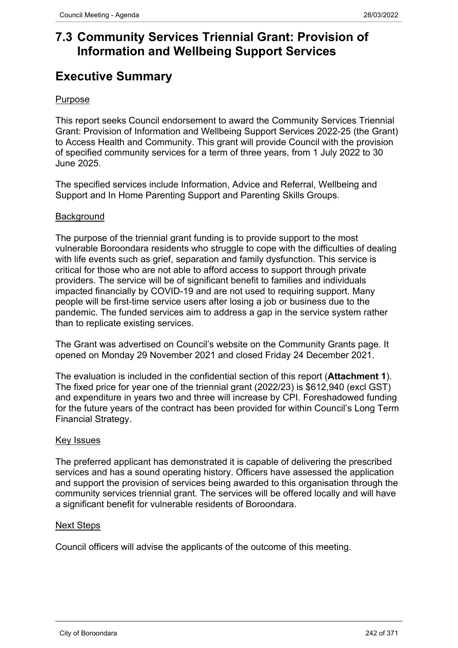# **7.3 Community Services Triennial Grant: Provision of Information and Wellbeing Support Services**

# **Executive Summary**

# Purpose

This report seeks Council endorsement to award the Community Services Triennial Grant: Provision of Information and Wellbeing Support Services 2022-25 (the Grant) to Access Health and Community. This grant will provide Council with the provision of specified community services for a term of three years, from 1 July 2022 to 30 June 2025.

The specified services include Information, Advice and Referral, Wellbeing and Support and In Home Parenting Support and Parenting Skills Groups.

#### **Background**

The purpose of the triennial grant funding is to provide support to the most vulnerable Boroondara residents who struggle to cope with the difficulties of dealing with life events such as grief, separation and family dysfunction. This service is critical for those who are not able to afford access to support through private providers. The service will be of significant benefit to families and individuals impacted financially by COVID-19 and are not used to requiring support. Many people will be first-time service users after losing a job or business due to the pandemic. The funded services aim to address a gap in the service system rather than to replicate existing services.

The Grant was advertised on Council's website on the Community Grants page. It opened on Monday 29 November 2021 and closed Friday 24 December 2021.

The evaluation is included in the confidential section of this report (**Attachment 1**). The fixed price for year one of the triennial grant (2022/23) is \$612,940 (excl GST) and expenditure in years two and three will increase by CPI. Foreshadowed funding for the future years of the contract has been provided for within Council's Long Term Financial Strategy.

# Key Issues

The preferred applicant has demonstrated it is capable of delivering the prescribed services and has a sound operating history. Officers have assessed the application and support the provision of services being awarded to this organisation through the community services triennial grant. The services will be offered locally and will have a significant benefit for vulnerable residents of Boroondara.

#### Next Steps

Council officers will advise the applicants of the outcome of this meeting.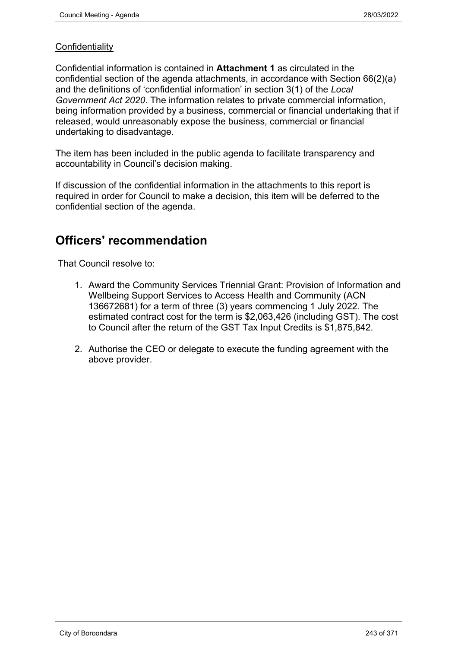# **Confidentiality**

Confidential information is contained in **Attachment 1** as circulated in the confidential section of the agenda attachments, in accordance with Section 66(2)(a) and the definitions of 'confidential information' in section 3(1) of the *Local Government Act 2020*. The information relates to private commercial information, being information provided by a business, commercial or financial undertaking that if released, would unreasonably expose the business, commercial or financial undertaking to disadvantage.

The item has been included in the public agenda to facilitate transparency and accountability in Council's decision making.

If discussion of the confidential information in the attachments to this report is required in order for Council to make a decision, this item will be deferred to the confidential section of the agenda.

# **Officers' recommendation**

That Council resolve to:

- 1. Award the Community Services Triennial Grant: Provision of Information and Wellbeing Support Services to Access Health and Community (ACN 136672681) for a term of three (3) years commencing 1 July 2022. The estimated contract cost for the term is \$2,063,426 (including GST). The cost to Council after the return of the GST Tax Input Credits is \$1,875,842.
- 2. Authorise the CEO or delegate to execute the funding agreement with the above provider.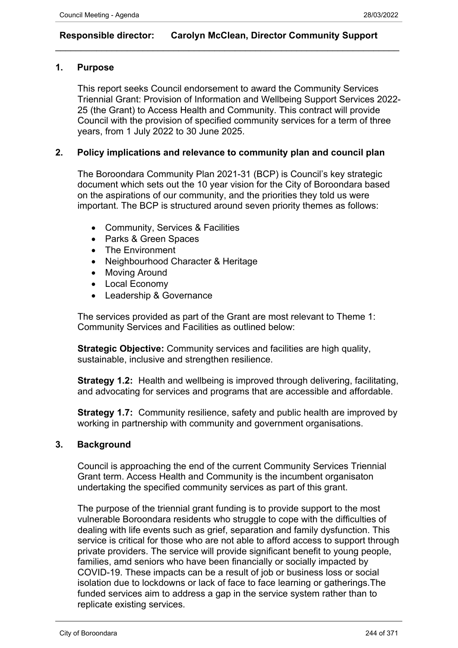# **Responsible director: Carolyn McClean, Director Community Support**

 $\_$  , and the set of the set of the set of the set of the set of the set of the set of the set of the set of the set of the set of the set of the set of the set of the set of the set of the set of the set of the set of th

# **1. Purpose**

This report seeks Council endorsement to award the Community Services Triennial Grant: Provision of Information and Wellbeing Support Services 2022- 25 (the Grant) to Access Health and Community. This contract will provide Council with the provision of specified community services for a term of three years, from 1 July 2022 to 30 June 2025.

# **2. Policy implications and relevance to community plan and council plan**

The Boroondara Community Plan 2021-31 (BCP) is Council's key strategic document which sets out the 10 year vision for the City of Boroondara based on the aspirations of our community, and the priorities they told us were important. The BCP is structured around seven priority themes as follows:

- Community, Services & Facilities
- Parks & Green Spaces
- The Environment
- Neighbourhood Character & Heritage
- Moving Around
- Local Economy
- Leadership & Governance

The services provided as part of the Grant are most relevant to Theme 1: Community Services and Facilities as outlined below:

**Strategic Objective:** Community services and facilities are high quality, sustainable, inclusive and strengthen resilience.

**Strategy 1.2:** Health and wellbeing is improved through delivering, facilitating, and advocating for services and programs that are accessible and affordable.

**Strategy 1.7:** Community resilience, safety and public health are improved by working in partnership with community and government organisations.

# **3. Background**

Council is approaching the end of the current Community Services Triennial Grant term. Access Health and Community is the incumbent organisaton undertaking the specified community services as part of this grant.

The purpose of the triennial grant funding is to provide support to the most vulnerable Boroondara residents who struggle to cope with the difficulties of dealing with life events such as grief, separation and family dysfunction. This service is critical for those who are not able to afford access to support through private providers. The service will provide significant benefit to young people, families, amd seniors who have been financially or socially impacted by COVID-19. These impacts can be a result of job or business loss or social isolation due to lockdowns or lack of face to face learning or gatherings.The funded services aim to address a gap in the service system rather than to replicate existing services.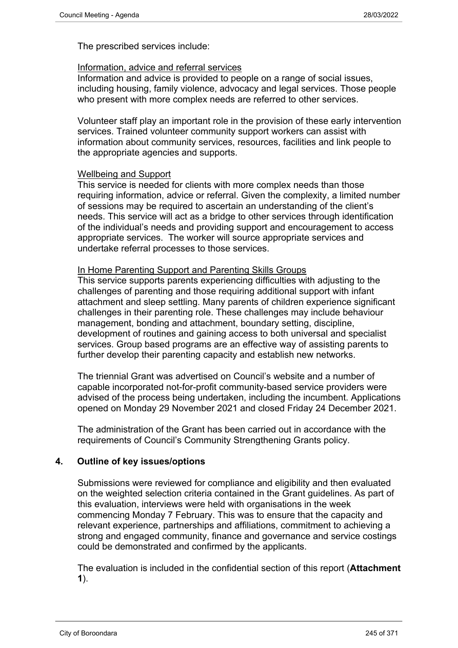The prescribed services include:

#### Information, advice and referral services

Information and advice is provided to people on a range of social issues, including housing, family violence, advocacy and legal services. Those people who present with more complex needs are referred to other services.

Volunteer staff play an important role in the provision of these early intervention services. Trained volunteer community support workers can assist with information about community services, resources, facilities and link people to the appropriate agencies and supports.

#### Wellbeing and Support

This service is needed for clients with more complex needs than those requiring information, advice or referral. Given the complexity, a limited number of sessions may be required to ascertain an understanding of the client's needs. This service will act as a bridge to other services through identification of the individual's needs and providing support and encouragement to access appropriate services. The worker will source appropriate services and undertake referral processes to those services.

#### In Home Parenting Support and Parenting Skills Groups

This service supports parents experiencing difficulties with adjusting to the challenges of parenting and those requiring additional support with infant attachment and sleep settling. Many parents of children experience significant challenges in their parenting role. These challenges may include behaviour management, bonding and attachment, boundary setting, discipline, development of routines and gaining access to both universal and specialist services. Group based programs are an effective way of assisting parents to further develop their parenting capacity and establish new networks.

The triennial Grant was advertised on Council's website and a number of capable incorporated not-for-profit community-based service providers were advised of the process being undertaken, including the incumbent. Applications opened on Monday 29 November 2021 and closed Friday 24 December 2021.

The administration of the Grant has been carried out in accordance with the requirements of Council's Community Strengthening Grants policy.

# **4. Outline of key issues/options**

Submissions were reviewed for compliance and eligibility and then evaluated on the weighted selection criteria contained in the Grant guidelines. As part of this evaluation, interviews were held with organisations in the week commencing Monday 7 February. This was to ensure that the capacity and relevant experience, partnerships and affiliations, commitment to achieving a strong and engaged community, finance and governance and service costings could be demonstrated and confirmed by the applicants.

The evaluation is included in the confidential section of this report (**Attachment 1**).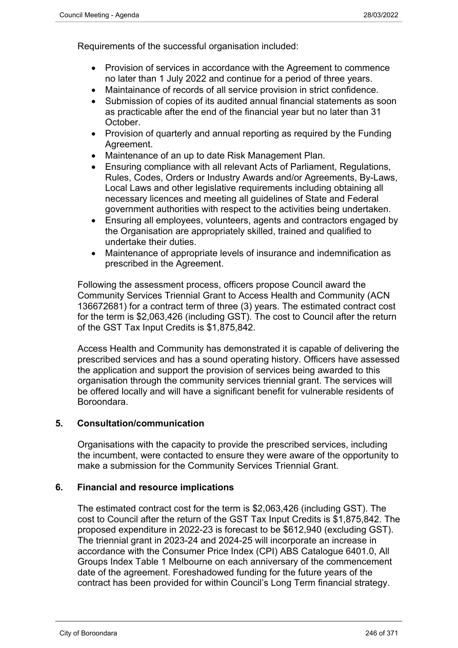Requirements of the successful organisation included:

- Provision of services in accordance with the Agreement to commence no later than 1 July 2022 and continue for a period of three years.
- Maintainance of records of all service provision in strict confidence.
- Submission of copies of its audited annual financial statements as soon as practicable after the end of the financial year but no later than 31 October.
- Provision of quarterly and annual reporting as required by the Funding Agreement.
- Maintenance of an up to date Risk Management Plan.
- Ensuring compliance with all relevant Acts of Parliament, Regulations, Rules, Codes, Orders or Industry Awards and/or Agreements, By-Laws, Local Laws and other legislative requirements including obtaining all necessary licences and meeting all guidelines of State and Federal government authorities with respect to the activities being undertaken.
- Ensuring all employees, volunteers, agents and contractors engaged by the Organisation are appropriately skilled, trained and qualified to undertake their duties.
- Maintenance of appropriate levels of insurance and indemnification as prescribed in the Agreement.

Following the assessment process, officers propose Council award the Community Services Triennial Grant to Access Health and Community (ACN 136672681) for a contract term of three (3) years. The estimated contract cost for the term is \$2,063,426 (including GST). The cost to Council after the return of the GST Tax Input Credits is \$1,875,842.

Access Health and Community has demonstrated it is capable of delivering the prescribed services and has a sound operating history. Officers have assessed the application and support the provision of services being awarded to this organisation through the community services triennial grant. The services will be offered locally and will have a significant benefit for vulnerable residents of Boroondara.

# **5. Consultation/communication**

Organisations with the capacity to provide the prescribed services, including the incumbent, were contacted to ensure they were aware of the opportunity to make a submission for the Community Services Triennial Grant.

# **6. Financial and resource implications**

The estimated contract cost for the term is \$2,063,426 (including GST). The cost to Council after the return of the GST Tax Input Credits is \$1,875,842. The proposed expenditure in 2022-23 is forecast to be \$612,940 (excluding GST). The triennial grant in 2023-24 and 2024-25 will incorporate an increase in accordance with the Consumer Price Index (CPI) ABS Catalogue 6401.0, All Groups Index Table 1 Melbourne on each anniversary of the commencement date of the agreement. Foreshadowed funding for the future years of the contract has been provided for within Council's Long Term financial strategy.